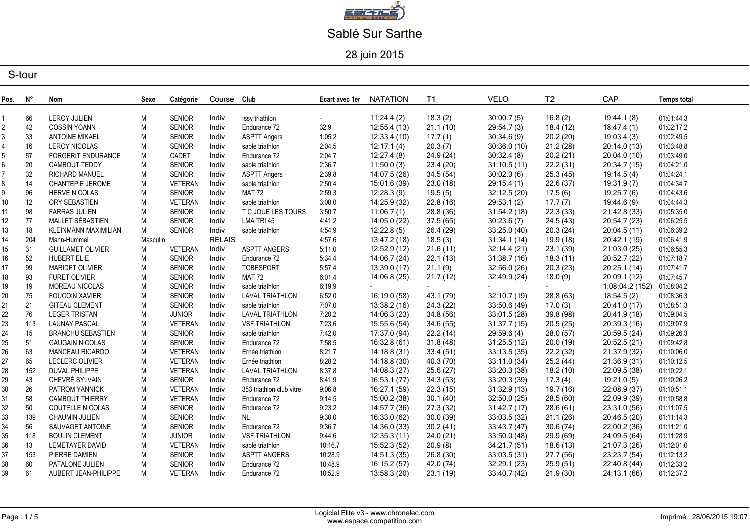

28 juin 2015

| Pos. | N°       | Nom                                        | Sexe      | Catégorie                      | Course Club    |                                | Ecart avec 1er     | <b>NATATION</b>            | <b>T1</b>           | <b>VELO</b>               | T <sub>2</sub>       | CAP                        | <b>Temps total</b>       |
|------|----------|--------------------------------------------|-----------|--------------------------------|----------------|--------------------------------|--------------------|----------------------------|---------------------|---------------------------|----------------------|----------------------------|--------------------------|
|      |          |                                            |           |                                |                |                                |                    |                            |                     |                           |                      |                            |                          |
|      | 66<br>42 | <b>LEROY JULIEN</b><br><b>COSSIN YOANN</b> | М<br>M    | <b>SENIOR</b><br><b>SENIOR</b> | Indiv<br>Indiv | Issy triathlon<br>Endurance 72 | $\sim 100$<br>32.9 | 11:24.4(2)<br>12:55.4 (13) | 18.3(2)<br>21.1(10) | 30:00.7(5)<br>29:54.7 (3) | 16.8(2)<br>18.4 (12) | 19:44.1 (8)<br>18:47.4 (1) | 01:01:44.3<br>01:02:17.2 |
|      | 33       | <b>ANTOINE MIKAEL</b>                      | M         | <b>SENIOR</b>                  | Indiv          | <b>ASPTT Angers</b>            | 1:05.2             | 12:33.4 (10)               | 17.7 $(1)$          | 30:34.6(9)                | 20.2(20)             | 19:03.4(3)                 | 01:02:49.5               |
|      | 16       | <b>LEROY NICOLAS</b>                       | M         | <b>SENIOR</b>                  | Indiv          | sable triathlon                | 2:04.5             | 12:17.1(4)                 | 20.3(7)             | 30:36.0(10)               | 21.2(28)             | 20:14.0 (13)               | 01:03:48.8               |
|      |          | <b>FORGERIT ENDURANCE</b>                  | M         | CADET                          | Indiv          | Endurance 72                   | 2:04.7             | 12:27.4(8)                 | 24.9 (24)           | 30:32.4(8)                | 20.2(21)             | 20:04.0 (10)               | 01:03:49.0               |
|      | 57       | CAMBOUT TEDDY                              | M         | <b>SENIOR</b>                  | Indiv          | sable triathlon                |                    | 11:50.0(3)                 | 23.4 (20)           | 31:10.5(11)               | 22.2(31)             | 20:34.7 (15)               | 01:04:21.0               |
|      | 20       |                                            |           |                                |                |                                | 2:36.7             |                            |                     |                           |                      | 19:14.5(4)                 |                          |
|      | 32       | <b>RICHARD MANUEL</b>                      | M         | <b>SENIOR</b>                  | Indiv          | <b>ASPTT Angers</b>            | 2:39.8             | 14:07.5 (26)               | 34.5(54)            | 30:02.0(6)                | 25.3(45)             |                            | 01:04:24.1               |
|      | 14       | <b>CHANTEPIE JEROME</b>                    | M         | <b>VETERAN</b>                 | Indiv          | sable triathlon                | 2:50.4             | 15:01.6 (39)               | 23.0(18)            | 29:15.4(1)                | 22.6(37)             | 19:31.9 (7)                | 01:04:34.7               |
|      | 96       | <b>HERVE NICOLAS</b>                       | M         | <b>SENIOR</b>                  | Indiv          | <b>MAT 72</b>                  | 2:59.3             | 12:28.3(9)                 | 19.5(5)             | 32:12.5 (20)              | 17.5(6)              | 19:25.7(6)                 | 01:04:43.6               |
| 10   | 12       | ORY SEBASTIEN                              | M         | VETERAN                        | Indiv          | sable triathlon                | 3:00.0             | 14:25.9 (32)               | 22.8(16)            | 29:53.1(2)                | 17.7(7)              | 19:44.6 (9)                | 01:04:44.3               |
| 11   | 98       | <b>FARRAS JULIEN</b>                       | M         | <b>SENIOR</b>                  | Indiv          | T C JOUE LES TOURS             | 3:50.7             | 11:06.7(1)                 | 28.8 (36)           | 31:54.2(18)               | 22.3(33)             | 21:42.8 (33)               | 01:05:35.0               |
| 12   | 77       | MALLET SÉBASTIEN                           | M         | <b>SENIOR</b>                  | Indiv          | LMA TRI 45                     | 4:41.2             | 14:05.0 (22)               | 37.5(65)            | 30:23.6(7)                | 24.5(43)             | 20:54.7 (23)               | 01:06:25.5               |
| 13   | 18       | KLEINMANN MAXIMILIAN                       | M         | <b>SENIOR</b>                  | Indiv          | sable triathlon                | 4:54.9             | 12:22.8(5)                 | 26.4 (29)           | 33:25.0 (40)              | 20.3(24)             | 20:04.5 (11)               | 01:06:39.2               |
| 14   | 204      | Mann-Hummel                                | Masculin  |                                | <b>RELAIS</b>  |                                | 4:57.6             | 13:47.2 (18)               | 18.5(3)             | 31:34.1(14)               | 19.9 (18)            | 20:42.1 (19)               | 01:06:41.9               |
| 15   | 31       | <b>GUILLAMET OLIVIER</b>                   | М         | <b>VETERAN</b>                 | Indiv          | <b>ASPTT ANGERS</b>            | 5:11.0             | 12:52.9 (12)               | 21.6(11)            | 32:14.4(21)               | 23.1(39)             | 21:03.0 (25)               | 01:06:55.3               |
| 16   | 52       | HUBERT ELIE                                | M         | <b>SENIOR</b>                  | Indiv          | Endurance 72                   | 5:34.4             | 14:06.7 (24)               | 22.1(13)            | 31:38.7(16)               | 18.3(11)             | 20:52.7 (22)               | 01:07:18.7               |
| 17   | 99       | <b>MARIDET OLIVIER</b>                     | M         | <b>SENIOR</b>                  | Indiv          | TOBESPORT                      | 5:57.4             | 13:39.0 (17)               | 21.1 (9)            | 32:56.0 (26)              | 20.3(23)             | 20:25.1 (14)               | 01:07:41.7               |
| 18   | 93       | <b>FURET OLIVIER</b>                       | M         | <b>SENIOR</b>                  | Indiv          | <b>MAT 72</b>                  | 6:01.4             | 14:06.8 (25)               | 21.7(12)            | 32:49.9 (24)              | 18.0(9)              | 20:09.1 (12)               | 01:07:45.7               |
| 19   | 19       | MOREAU NICOLAS                             | M         | <b>SENIOR</b>                  | Indiv          | sable triathlon                | 6:19.9             |                            |                     |                           |                      | 1:08:04.2 (152)            | 01:08:04.2               |
| 20   | 75       | <b>FOUCOIN XAVIER</b>                      | M         | <b>SENIOR</b>                  | Indiv          | LAVAL TRIATHLON                | 6:52.0             | 16:19.0 (58)               | 43.1 (79)           | 32:10.7 (19)              | 28.8 (63)            | 18:54.5(2)                 | 01:08:36.3               |
| 21   | 21       | <b>GITEAU CLEMENT</b>                      | M         | <b>SENIOR</b>                  | Indiv          | sable triathlon                | 7:07.0             | 13:38.2 (16)               | 24.3(22)            | 33:50.6 (49)              | 17.0(3)              | 20:41.0 (17)               | 01:08:51.3               |
|      | 76       | <b>LEGER TRISTAN</b>                       | ${\sf M}$ | <b>JUNIOR</b>                  | Indiv          | LAVAL TRIATHLON                | 7:20.2             | 14:06.3 (23)               | 34.8 (56)           | 33:01.5 (28)              | 39.8 (98)            | 20:41.9 (18)               | 01:09:04.5               |
| 23   | 113      | <b>LAUNAY PASCAL</b>                       | M         | VETERAN                        | Indiv          | <b>VSF TRIATHLON</b>           | 7:23.6             | 15:55.6 (54)               | 34.6(55)            | 31:37.7(15)               | 20.5(25)             | 20:39.3 (16)               | 01:09:07.9               |
| 24   | 15       | <b>BRANCHU SEBASTIEN</b>                   | M         | <b>SENIOR</b>                  | Indiv          | sable triathlon                | 7:42.0             | 17:37.0 (94)               | 22.2(14)            | 29:59.6(4)                | 28.0(57)             | 20:59.5 (24)               | 01:09:26.3               |
| 25   | 51       | <b>GAUGAIN NICOLAS</b>                     | M         | <b>SENIOR</b>                  | Indiv          | Endurance 72                   | 7:58.5             | 16:32.8 (61)               | 31.8(48)            | 31:25.5(12)               | 20.0(19)             | 20:52.5 (21)               | 01:09:42.8               |
| 26   | 63       | <b>MANCEAU RICARDO</b>                     | M         | VETERAN                        | Indiv          | Ernée triathlon                | 8:21.7             | 14:18.8 (31)               | 33.4(51)            | 33:13.5(35)               | 22.2(32)             | 21:37.9 (32)               | 01:10:06.0               |
| 27   | 65       | <b>LECLERC OLIVIER</b>                     | M         | VETERAN                        | Indiv          | Ernée triathlon                | 8:28.2             | 14:18.8 (30)               | 40.3 (70)           | 33:11.0 (34)              | 25.2(44)             | 21:36.9 (31)               | 01:10:12.5               |
| 28   | 152      | <b>DUVAL PHILIPPE</b>                      | M         | VETERAN                        | Indiv          | <b>LAVAL TRIATHLON</b>         | 8:37.8             | 14:08.3 (27)               | 25.6(27)            | 33:20.3 (38)              | 18.2(10)             | 22:09.5 (38)               | 01:10:22.1               |
| 29   | 43       | CHEVRÉ SYLVAIN                             | M         | SENIOR                         | Indiv          | Endurance 72                   | 8:41.9             | 16:53.1 (77)               | 34.3(53)            | 33:20.3 (39)              | 17.3(4)              | 19:21.0 (5)                | 01:10:26.2               |
| 30   | 26       | PATROM YANNICK                             | M         | VETERAN                        | Indiv          | 353 triathlon club vitre       | 9:06.8             | 16:27.1 (59)               | 22.3(15)            | 31:32.9(13)               | 19.7 (16)            | 22:08.9 (37)               | 01:10:51.1               |
| 31   | 58       | <b>CAMBOUT THIERRY</b>                     | M         | VETERAN                        | Indiv          | Endurance 72                   | 9:14.5             | 15:00.2 (38)               | 30.1(40)            | 32:50.0 (25)              | 28.5(60)             | 22:09.9 (39)               | 01:10:58.8               |
| 32   | $50\,$   | <b>COUTELLE NICOLAS</b>                    | M         | <b>SENIOR</b>                  | Indiv          | Endurance 72                   | 9:23.2             | 14:57.7 (36)               | 27.3 (32)           | 31:42.7(17)               | 28.6(61)             | 23:31.0 (56)               | 01:11:07.5               |
| 33   | 139      | <b>CHAUMIN JULIEN</b>                      | M         | <b>SENIOR</b>                  | Indiv          | NL                             | 9:30.0             | 16:33.0 (62)               | 30.0(39)            | 33:03.5 (32)              | 21.1(26)             | 20:46.5 (20)               | 01:11:14.3               |
| 34   | 56       | SAUVAGET ANTOINE                           | M         | <b>SENIOR</b>                  | Indiv          | Endurance 72                   | 9:36.7             | 14:36.0 (33)               | 30.2(41)            | 33:43.7 (47)              | 30.6(74)             | 22:00.2 (36)               | 01:11:21.0               |
| 35   | 118      | <b>BOULIN CLEMENT</b>                      | M         | <b>JUNIOR</b>                  | Indiv          | <b>VSF TRIATHLON</b>           | 9:44.6             | 12:35.3 (11)               | 24.0(21)            | 33:50.0 (48)              | 29.9 (69)            | 24:09.5 (64)               | 01:11:28.9               |
| 36   | 13       | LEMETAYER DAVID                            | M         | <b>VETERAN</b>                 | Indiv          | sable triathlon                | 10:16.7            | 15:52.3 (52)               | 20.9(8)             | 34:21.7 (51)              | 18.6(13)             | 21:07.3 (26)               | 01:12:01.0               |
| 37   | 153      | PIERRE DAMIEN                              | M         | <b>SENIOR</b>                  | Indiv          | ASPTT ANGERS                   | 10:28.9            | 14:51.3 (35)               | 26.8(30)            | 33:03.5(31)               | 27.7(56)             | 23:23.7 (54)               | 01:12:13.2               |
| 38   | 60       | PATALONE JULIEN                            | M         | <b>SENIOR</b>                  | Indiv          | Endurance 72                   | 10:48.9            | 16:15.2 (57)               | 42.0 (74)           | 32:29.1 (23)              | 25.9(51)             | 22:40.8 (44)               | 01:12:33.2               |
| 39   | 61       | AUBERT JEAN-PHILIPPE                       | M         | VETERAN                        | Indiv          | Endurance 72                   | 10:52.9            | 13:58.3 (20)               | 23.1(19)            | 33:40.7 (42)              | 21.9(30)             | 24:13.1 (66)               | 01:12:37.2               |
|      |          |                                            |           |                                |                |                                |                    |                            |                     |                           |                      |                            |                          |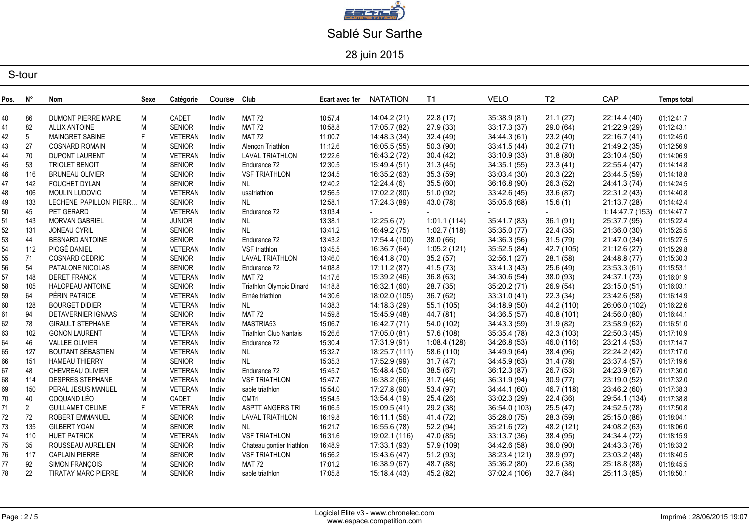

28 juin 2015

| Pos. | N°              | Nom                        | Sexe      | Catégorie      | Course | Club                      | Ecart avec 1er | <b>NATATION</b> | <b>T1</b>   | <b>VELO</b>   | T2         | CAP            | <b>Temps total</b> |
|------|-----------------|----------------------------|-----------|----------------|--------|---------------------------|----------------|-----------------|-------------|---------------|------------|----------------|--------------------|
|      |                 |                            |           |                |        |                           |                |                 |             |               |            |                |                    |
| 40   | 86              | <b>DUMONT PIERRE MARIE</b> | М         | CADET          | Indiv  | <b>MAT 72</b>             | 10:57.4        | 14:04.2 (21)    | 22.8(17)    | 35:38.9 (81)  | 21.1(27)   | 22:14.4 (40)   | 01:12:41.7         |
| 41   | 82              | <b>ALLIX ANTOINE</b>       | M         | <b>SENIOR</b>  | Indiv  | <b>MAT 72</b>             | 10:58.8        | 17:05.7 (82)    | 27.9(33)    | 33:17.3 (37)  | 29.0 (64)  | 21:22.9 (29)   | 01:12:43.1         |
| 42   | $5\phantom{.0}$ | MAINGRET SABINE            | F         | <b>VETERAN</b> | Indiv  | <b>MAT 72</b>             | 11:00.7        | 14:48.3 (34)    | 32.4 (49)   | 34:44.3 (61)  | 23.2(40)   | 22:16.7 (41)   | 01:12:45.0         |
| 43   | 27              | <b>COSNARD ROMAIN</b>      | M         | <b>SENIOR</b>  | Indiv  | Alençon Triathlon         | 11:12.6        | 16:05.5 (55)    | 50.3(90)    | 33:41.5 (44)  | 30.2(71)   | 21:49.2 (35)   | 01:12:56.9         |
| 44   | 70              | <b>DUPONT LAURENT</b>      | M         | <b>VETERAN</b> | Indiv  | <b>LAVAL TRIATHLON</b>    | 12:22.6        | 16:43.2 (72)    | 30.4(42)    | 33:10.9 (33)  | 31.8(80)   | 23:10.4 (50)   | 01:14:06.9         |
| 45   | 53              | TRIOLET BENOIT             | M         | <b>SENIOR</b>  | Indiv  | Endurance 72              | 12:30.5        | 15:49.4 (51)    | 31.3(45)    | 34:35.1 (55)  | 23.3(41)   | 22:55.4 (47)   | 01:14:14.8         |
| 46   | 116             | <b>BRUNEAU OLIVIER</b>     | ${\sf M}$ | <b>SENIOR</b>  | Indiv  | <b>VSF TRIATHLON</b>      | 12:34.5        | 16:35.2 (63)    | 35.3(59)    | 33:03.4 (30)  | 20.3(22)   | 23:44.5 (59)   | 01:14:18.8         |
| 47   | 142             | FOUCHET DYLAN              | ${\sf M}$ | <b>SENIOR</b>  | Indiv  | NL                        | 12:40.2        | 12:24.4(6)      | 35.5(60)    | 36:16.8 (90)  | 26.3(52)   | 24:41.3 (74)   | 01:14:24.5         |
| 48   | 106             | MOULIN LUDOVIC             | M         | VETERAN        | Indiv  | usatriathlon              | 12:56.5        | 17:02.2 (80)    | 51.0 (92)   | 33:42.6(45)   | 33.6(87)   | 22:31.2 (43)   | 01:14:40.8         |
| 49   | 133             | LECHENE PAPILLON PIERR M   |           | <b>SENIOR</b>  | Indiv  | <b>NL</b>                 | 12:58.1        | 17:24.3 (89)    | 43.0 (78)   | 35:05.6 (68)  | 15.6(1)    | 21:13.7 (28)   | 01:14:42.4         |
| 50   | 45              | PET GERARD                 | M         | VETERAN        | Indiv  | Endurance 72              | 13:03.4        |                 |             |               |            | 1:14:47.7(153) | 01:14:47.7         |
| 51   | 143             | MORVAN GABRIEL             | ${\sf M}$ | <b>JUNIOR</b>  | Indiv  | NL                        | 13:38.1        | 12:25.6(7)      | 1:01.1(114) | 35:41.7 (83)  | 36.1(91)   | 25:37.7 (95)   | 01:15:22.4         |
| 52   | 131             | <b>JONEAU CYRIL</b>        | M         | <b>SENIOR</b>  | Indiv  | NL                        | 13:41.2        | 16:49.2 (75)    | 1:02.7(118) | 35:35.0 (77)  | 22.4(35)   | 21:36.0 (30)   | 01:15:25.5         |
| 53   | 44              | <b>BESNARD ANTOINE</b>     | M         | <b>SENIOR</b>  | Indiv  | Endurance 72              | 13:43.2        | 17:54.4 (100)   | 38.0(66)    | 34:36.3 (56)  | 31.5(79)   | 21:47.0 (34)   | 01:15:27.5         |
| 54   | 112             | PIOGÉ DANIEL               | ${\sf M}$ | VETERAN        | Indiv  | VSF triathlon             | 13:45.5        | 16:36.7 (64)    | 1:05.2(121) | 35:52.5 (84)  | 42.7 (105) | 21:12.6(27)    | 01:15:29.8         |
| 55   | 71              | COSNARD CEDRIC             | M         | <b>SENIOR</b>  | Indiv  | LAVAL TRIATHLON           | 13:46.0        | 16:41.8 (70)    | 35.2(57)    | 32:56.1 (27)  | 28.1 (58)  | 24:48.8 (77)   | 01:15:30.3         |
| 56   | 54              | PATALONE NICOLAS           | M         | <b>SENIOR</b>  | Indiv  | Endurance 72              | 14:08.8        | 17:11.2 (87)    | 41.5 (73)   | 33:41.3(43)   | 25.6 (49)  | 23:53.3 (61)   | 01:15:53.1         |
| 57   | 148             | <b>DERET FRANCK</b>        | M         | VETERAN        | Indiv  | <b>MAT 72</b>             | 14:17.6        | 15:39.2 (46)    | 36.8(63)    | 34:30.6 (54)  | 38.0(93)   | 24:37.1 (73)   | 01:16:01.9         |
| 58   | 105             | HALOPEAU ANTOINE           | ${\sf M}$ | <b>SENIOR</b>  | Indiv  | Triathlon Olympic Dinard  | 14:18.8        | 16:32.1 (60)    | 28.7 (35)   | 35:20.2 (71)  | 26.9(54)   | 23:15.0 (51)   | 01:16:03.1         |
| 59   | 64              | PÉRIN PATRICE              | ${\sf M}$ | VETERAN        | Indiv  | Ernée triathlon           | 14:30.6        | 18:02.0 (105)   | 36.7(62)    | 33:31.0(41)   | 22.3(34)   | 23:42.6 (58)   | 01:16:14.9         |
| 60   | 128             | <b>BOURGET DIDIER</b>      | M         | VETERAN        | Indiv  | <b>NL</b>                 | 14:38.3        | 14:18.3 (29)    | 55.1 (105)  | 34:18.9 (50)  | 44.2 (110) | 26:06.0 (102)  | 01:16:22.6         |
| 61   | 94              | DETAVERNIER IGNAAS         | M         | <b>SENIOR</b>  | Indiv  | <b>MAT 72</b>             | 14:59.8        | 15:45.9 (48)    | 44.7 (81)   | 34:36.5(57)   | 40.8 (101) | 24:56.0 (80)   | 01:16:44.1         |
| 62   | 78              | <b>GIRAULT STEPHANE</b>    | M         | VETERAN        | Indiv  | MASTRIA53                 | 15:06.7        | 16:42.7 (71)    | 54.0 (102)  | 34:43.3 (59)  | 31.9(82)   | 23:58.9 (62)   | 01:16:51.0         |
| 63   | 102             | <b>GONON LAURENT</b>       | M         | VETERAN        | Indiv  | Triathlon Club Nantais    | 15:26.6        | 17:05.0 (81)    | 57.6 (108)  | 35:35.4 (78)  | 42.3 (103) | 22:50.3 (45)   | 01:17:10.9         |
| 64   | 46              | <b>VALLEE OLIVIER</b>      | M         | VETERAN        | Indiv  | Endurance 72              | 15:30.4        | 17:31.9 (91)    | 1:08.4(128) | 34:26.8 (53)  | 46.0 (116) | 23:21.4 (53)   | 01:17:14.7         |
| 65   | 127             | BOUTANT SÉBASTIEN          | M         | VETERAN        | Indiv  | <b>NL</b>                 | 15:32.7        | 18:25.7 (111)   | 58.6 (110)  | 34:49.9 (64)  | 38.4 (96)  | 22:24.2 (42)   | 01:17:17.0         |
| 66   | 151             | <b>HAMEAU THIERRY</b>      | ${\sf M}$ | <b>SENIOR</b>  | Indiv  | NL                        | 15:35.3        | 17:52.9 (99)    | 31.7(47)    | 34:45.9 (63)  | 31.4(78)   | 23:37.4 (57)   | 01:17:19.6         |
| 67   | 48              | CHEVREAU OLIVIER           | M         | VETERAN        | Indiv  | Endurance 72              | 15:45.7        | 15:48.4 (50)    | 38.5(67)    | 36:12.3 (87)  | 26.7 (53)  | 24:23.9 (67)   | 01:17:30.0         |
| 68   | 114             | <b>DESPRES STEPHANE</b>    | M         | <b>VETERAN</b> | Indiv  | <b>VSF TRIATHLON</b>      | 15:47.7        | 16:38.2 (66)    | 31.7(46)    | 36:31.9 (94)  | 30.9(77)   | 23:19.0 (52)   | 01:17:32.0         |
| 69   | 150             | PERAL JESUS MANUEL         | M         | VETERAN        | Indiv  | sable triathlon           | 15:54.0        | 17:27.8 (90)    | 53.4 (97)   | 34:44.1 (60)  | 46.7 (118) | 23:46.2 (60)   | 01:17:38.3         |
| 70   | 40              | COQUAND LÉO                | M         | CADET          | Indiv  | CMTri                     | 15:54.5        | 13:54.4 (19)    | 25.4 (26)   | 33:02.3 (29)  | 22.4 (36)  | 29:54.1 (134)  | 01:17:38.8         |
| 71   | $\overline{2}$  | <b>GUILLAMET CELINE</b>    | F         | VETERAN        | Indiv  | <b>ASPTT ANGERS TRI</b>   | 16:06.5        | 15:09.5 (41)    | 29.2 (38)   | 36:54.0 (103) | 25.5(47)   | 24:52.5 (78)   | 01:17:50.8         |
| 72   | 72              | ROBERT EMMANUEL            | M         | <b>SENIOR</b>  | Indiv  | <b>LAVAL TRIATHLON</b>    | 16:19.8        | 16:11.1 (56)    | 41.4 (72)   | 35:28.0 (75)  | 28.3 (59)  | 25:15.0 (86)   | 01:18:04.1         |
| 73   | 135             | <b>GILBERT YOAN</b>        | ${\sf M}$ | <b>SENIOR</b>  | Indiv  | <b>NL</b>                 | 16:21.7        | 16:55.6 (78)    | 52.2 (94)   | 35:21.6 (72)  | 48.2 (121) | 24:08.2 (63)   | 01:18:06.0         |
| 74   | 110             | <b>HUET PATRICK</b>        | M         | VETERAN        | Indiv  | <b>VSF TRIATHLON</b>      | 16:31.6        | 19:02.1 (116)   | 47.0 (85)   | 33:13.7(36)   | 38.4 (95)  | 24:34.4 (72)   | 01:18:15.9         |
| 75   | 35              | ROUSSEAU AURELIEN          | M         | <b>SENIOR</b>  | Indiv  | Chateau gontier triathlon | 16:48.9        | 17:33.1 (93)    | 57.9 (109)  | 34:42.6 (58)  | 36.0(90)   | 24:43.3 (76)   | 01:18:33.2         |
| 76   | 117             | <b>CAPLAIN PIERRE</b>      | M         | <b>SENIOR</b>  | Indiv  | <b>VSF TRIATHLON</b>      | 16:56.2        | 15:43.6 (47)    | 51.2(93)    | 38:23.4 (121) | 38.9 (97)  | 23:03.2 (48)   | 01:18:40.5         |
| 77   | 92              | SIMON FRANÇOIS             | M         | <b>SENIOR</b>  | Indiv  | <b>MAT 72</b>             | 17:01.2        | 16:38.9 (67)    | 48.7 (88)   | 35:36.2 (80)  | 22.6 (38)  | 25:18.8 (88)   | 01:18:45.5         |
| 78   | 22              | <b>TIRATAY MARC PIERRE</b> | M         | SENIOR         | Indiv  | sable triathlon           | 17:05.8        | 15:18.4 (43)    | 45.2 (82)   | 37:02.4 (106) | 32.7(84)   | 25:11.3 (85)   | 01:18:50.1         |
|      |                 |                            |           |                |        |                           |                |                 |             |               |            |                |                    |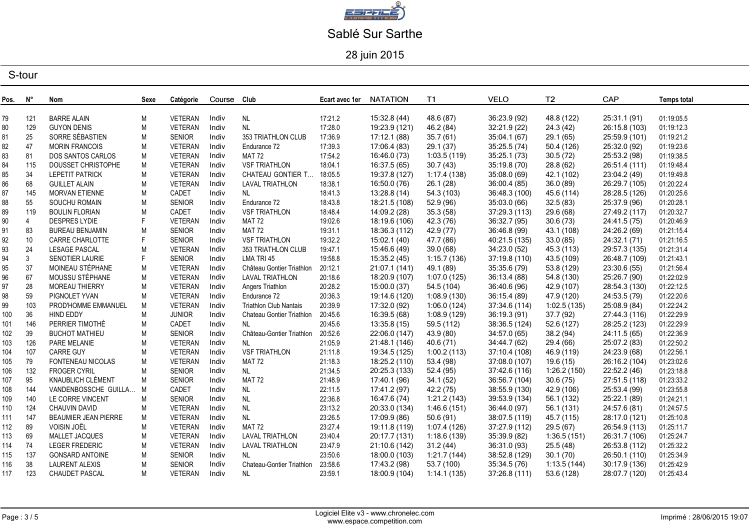

28 juin 2015

| Pos. | N°             | Nom                         | Sexe      | Catégorie      | Course Club |                               | Ecart avec 1er | <b>NATATION</b> | T1.          | <b>VELO</b>   | T <sub>2</sub> | CAP           | <b>Temps total</b> |
|------|----------------|-----------------------------|-----------|----------------|-------------|-------------------------------|----------------|-----------------|--------------|---------------|----------------|---------------|--------------------|
| 79   | 121            | <b>BARRE ALAIN</b>          | M         | <b>VETERAN</b> | Indiv       |                               | 17:21.2        | 15:32.8 (44)    | 48.6 (87)    | 36:23.9 (92)  | 48.8 (122)     | 25:31.1 (91)  | 01:19:05.5         |
| 80   | 129            | <b>GUYON DENIS</b>          | M         | VETERAN        | Indiv       | NL<br><b>NL</b>               | 17:28.0        | 19:23.9 (121)   | 46.2 (84)    | 32:21.9 (22)  | 24.3(42)       | 26:15.8 (103) | 01:19:12.3         |
| 81   | 25             | SORRE SÉBASTIEN             | M         | <b>SENIOR</b>  | Indiv       | 353 TRIATHLON CLUB            | 17:36.9        | 17:12.1 (88)    | 35.7(61)     | 35:04.1 (67)  | 29.1 (65)      | 25:59.9 (101) | 01:19:21.2         |
| 82   | 47             | <b>MORIN FRANCOIS</b>       | M         | VETERAN        | Indiv       | Endurance 72                  | 17:39.3        | 17:06.4 (83)    | 29.1 (37)    | 35:25.5 (74)  | 50.4 (126)     | 25:32.0 (92)  | 01:19:23.6         |
| 83   | 81             | DOS SANTOS CARLOS           | M         | VETERAN        | Indiv       | <b>MAT 72</b>                 | 17:54.2        | 16:46.0 (73)    | 1:03.5(119)  | 35:25.1(73)   | 30.5(72)       | 25:53.2 (98)  | 01:19:38.5         |
| 84   | 115            | DOUSSET CHRISTOPHE          | M         | <b>VETERAN</b> | Indiv       | <b>VSF TRIATHLON</b>          | 18:04.1        | 16:37.5 (65)    | 30.7(43)     | 35:19.8 (70)  | 28.8 (62)      | 26:51.4 (111) | 01:19:48.4         |
| 85   | 34             | <b>LEPETIT PATRICK</b>      | M         | <b>VETERAN</b> | Indiv       | <b>CHATEAU GONTIER T</b>      | 18:05.5        | 19:37.8 (127)   | 1:17.4(138)  | 35:08.0(69)   | 42.1 (102)     | 23:04.2 (49)  | 01:19:49.8         |
| 86   | 68             | <b>GUILLET ALAIN</b>        | M         | VETERAN        | Indiv       | <b>LAVAL TRIATHLON</b>        | 18:38.1        | 16:50.0 (76)    | 26.1(28)     | 36:00.4 (85)  | 36.0(89)       | 26:29.7 (105) | 01:20:22.4         |
| 87   | 145            | <b>MORVAN ETIENNE</b>       | M         | CADET          | Indiv       | <b>NL</b>                     | 18:41.3        | 13:28.8 (14)    | 54.3 (103)   | 36:48.3 (100) | 45.6 (114)     | 28:28.5 (126) | 01:20:25.6         |
| 88   | 55             | <b>SOUCHU ROMAIN</b>        | M         | <b>SENIOR</b>  | Indiv       | Endurance 72                  | 18:43.8        | 18:21.5 (108)   | 52.9 (96)    | 35:03.0(66)   | 32.5(83)       | 25:37.9 (96)  | 01:20:28.1         |
| 89   | 119            | <b>BOULIN FLORIAN</b>       | M         | CADET          | Indiv       | <b>VSF TRIATHLON</b>          | 18:48.4        | 14:09.2 (28)    | 35.3(58)     | 37:29.3 (113) | 29.6 (68)      | 27:49.2 (117) | 01:20:32.7         |
| 90   | $\overline{4}$ | DESPRES LYDIE               | F         | <b>VETERAN</b> | Indiv       | <b>MAT 72</b>                 | 19:02.6        | 18:19.6 (106)   | 42.3 (76)    | 36:32.7 (95)  | 30.6(73)       | 24:41.5 (75)  | 01:20:46.9         |
| 91   | 83             | <b>BUREAU BENJAMIN</b>      | M         | <b>SENIOR</b>  | Indiv       | <b>MAT 72</b>                 | 19:31.1        | 18:36.3 (112)   | 42.9 (77)    | 36:46.8 (99)  | 43.1 (108)     | 24:26.2 (69)  | 01:21:15.4         |
| 92   | 10             | <b>CARRE CHARLOTTE</b>      | F.        | <b>SENIOR</b>  | Indiv       | <b>VSF TRIATHLON</b>          | 19:32.2        | 15:02.1 (40)    | 47.7 (86)    | 40:21.5 (135) | 33.0(85)       | 24:32.1 (71)  | 01:21:16.5         |
| 93   | 24             | <b>LESAGE PASCAL</b>        | M         | <b>VETERAN</b> | Indiv       | 353 TRIATHLON CLUB            | 19:47.1        | 15:46.6 (49)    | 39.0(68)     | 34:23.0 (52)  | 45.3 (113)     | 29:57.3 (135) | 01:21:31.4         |
| 94   | 3              | SENOTIER LAURIE             | F.        | <b>SENIOR</b>  | Indiv       | LMA TRI 45                    | 19:58.8        | 15:35.2 (45)    | 1:15.7(136)  | 37:19.8 (110) | 43.5 (109)     | 26:48.7 (109) | 01:21:43.1         |
| 95   | 37             | MOINEAU STÉPHANE            | M         | VETERAN        | Indiv       | Château Gontier Triathlon     | 20:12.1        | 21:07.1 (141)   | 49.1 (89)    | 35:35.6 (79)  | 53.8 (129)     | 23:30.6 (55)  | 01:21:56.4         |
| 96   | 67             | MOUSSU STÉPHANE             | M         | VETERAN        | Indiv       | LAVAL TRIATHLON               | 20:18.6        | 18:20.9 (107)   | 1:07.0(125)  | 36:13.4 (88)  | 54.8 (130)     | 25:26.7 (90)  | 01:22:02.9         |
| 97   | 28             | <b>MOREAU THIERRY</b>       | M         | <b>VETERAN</b> | Indiv       | Angers Triathlon              | 20:28.2        | 15:00.0 (37)    | 54.5 (104)   | 36:40.6 (96)  | 42.9 (107)     | 28:54.3 (130) | 01:22:12.5         |
| 98   | 59             | PIGNOLET YVAN               | M         | <b>VETERAN</b> | Indiv       | Endurance 72                  | 20:36.3        | 19:14.6 (120)   | 1:08.9(130)  | 36:15.4 (89)  | 47.9 (120)     | 24:53.5 (79)  | 01:22:20.6         |
| 99   | 103            | PROD'HOMME EMMANUEL         | M         | VETERAN        | Indiv       | <b>Triathlon Club Nantais</b> | 20:39.9        | 17:32.0 (92)    | 1:06.0(124)  | 37:34.6 (114) | 1:02.5(135)    | 25:08.9 (84)  | 01:22:24.2         |
| 100  | 36             | <b>HIND EDDY</b>            | M         | <b>JUNIOR</b>  | Indiv       | Chateau Gontier Triathlon     | 20:45.6        | 16:39.5 (68)    | 1:08.9(129)  | 36:19.3 (91)  | 37.7 (92)      | 27:44.3 (116) | 01:22:29.9         |
| 101  | 146            | PERRIER TIMOTHÉ             | M         | CADET          | Indiv       | <b>NL</b>                     | 20:45.6        | 13:35.8(15)     | 59.5 (112)   | 38:36.5 (124) | 52.6 (127)     | 28:25.2 (123) | 01:22:29.9         |
| 102  | 39             | <b>BUCHOT MATHIEU</b>       | M         | <b>SENIOR</b>  | Indiv       | Château-Gontier Triathlon     | 20:52.6        | 22:06.0 (147)   | 43.9 (80)    | 34:57.0 (65)  | 38.2(94)       | 24:11.5 (65)  | 01:22:36.9         |
| 103  | 126            | PARE MELANIE                | M         | VETERAN        | Indiv       | <b>NL</b>                     | 21:05.9        | 21:48.1 (146)   | 40.6 (71)    | 34:44.7 (62)  | 29.4 (66)      | 25:07.2 (83)  | 01:22:50.2         |
| 104  | 107            | <b>CARRE GUY</b>            | M         | VETERAN        | Indiv       | <b>VSF TRIATHLON</b>          | 21:11.8        | 19:34.5 (125)   | 1:00.2(113)  | 37:10.4 (108) | 46.9 (119)     | 24:23.9 (68)  | 01:22:56.1         |
| 105  | 79             | FONTENEAU NICOLAS           | M         | <b>VETERAN</b> | Indiv       | <b>MAT 72</b>                 | 21:18.3        | 18:25.2 (110)   | 53.4 (98)    | 37:08.0 (107) | 19.6 (15)      | 26:16.2 (104) | 01:23:02.6         |
| 106  | 132            | <b>FROGER CYRIL</b>         | M         | <b>SENIOR</b>  | Indiv       | <b>NL</b>                     | 21:34.5        | 20:25.3 (133)   | 52.4 (95)    | 37:42.6 (116) | 1:26.2(150)    | 22:52.2 (46)  | 01:23:18.8         |
| 107  | 95             | KNAUBLICH CLÉMENT           | M         | <b>SENIOR</b>  | Indiv       | <b>MAT 72</b>                 | 21:48.9        | 17:40.1 (96)    | 34.1(52)     | 36:56.7 (104) | 30.6(75)       | 27:51.5 (118) | 01:23:33.2         |
| 108  | 144            | VANDENBOSSCHE GUILLA        | M         | CADET          | Indiv       | <b>NL</b>                     | 22:11.5        | 17:41.2 (97)    | 42.2 (75)    | 38:55.9 (130) | 42.9 (106)     | 25:53.4 (99)  | 01:23:55.8         |
| 109  | 140            | LE CORRE VINCENT            | M         | <b>SENIOR</b>  | Indiv       | <b>NL</b>                     | 22:36.8        | 16:47.6 (74)    | 1:21.2(143)  | 39:53.9 (134) | 56.1 (132)     | 25:22.1 (89)  | 01:24:21.1         |
| 110  | 124            | <b>CHAUVIN DAVID</b>        | M         | <b>VETERAN</b> | Indiv       | <b>NL</b>                     | 23:13.2        | 20:33.0 (134)   | 1:46.6(151)  | 36:44.0 (97)  | 56.1 (131)     | 24:57.6 (81)  | 01:24:57.5         |
| 111  | 147            | <b>BEAUMIER JEAN PIERRE</b> | M         | <b>VETERAN</b> | Indiv       | <b>NL</b>                     | 23:26.5        | 17:09.9 (86)    | 50.6 (91)    | 38:07.5 (119) | 45.7 (115)     | 28:17.0 (121) | 01:25:10.8         |
| 112  | 89             | VOISIN JOËL                 | ${\sf M}$ | VETERAN        | Indiv       | <b>MAT 72</b>                 | 23:27.4        | 19:11.8 (119)   | 1:07.4 (126) | 37:27.9 (112) | 29.5 (67)      | 26:54.9 (113) | 01:25:11.7         |
| 113  | 69             | MALLET JACQUES              | M         | VETERAN        | Indiv       | LAVAL TRIATHLON               | 23:40.4        | 20:17.7 (131)   | 1:18.6(139)  | 35:39.9 (82)  | 1:36.5(151)    | 26:31.7 (106) | 01:25:24.7         |
| 114  | 74             | <b>LEGER FREDERIC</b>       | M         | VETERAN        | Indiv       | <b>LAVAL TRIATHLON</b>        | 23:47.9        | 21:10.6 (142)   | 31.2 (44)    | 36:31.0 (93)  | 25.5(48)       | 26:53.8 (112) | 01:25:32.2         |
| 115  | 137            | <b>GONSARD ANTOINE</b>      | M         | <b>SENIOR</b>  | Indiv       | <b>NL</b>                     | 23:50.6        | 18:00.0 (103)   | 1:21.7(144)  | 38:52.8 (129) | 30.1(70)       | 26:50.1 (110) | 01:25:34.9         |
| 116  | 38             | <b>LAURENT ALEXIS</b>       | M         | <b>SENIOR</b>  | Indiv       | Chateau-Gontier Triathlon     | 23:58.6        | 17:43.2 (98)    | 53.7 (100)   | 35:34.5 (76)  | 1:13.5(144)    | 30:17.9 (136) | 01:25:42.9         |
| 117  | 123            | <b>CHAUDET PASCAL</b>       | М         | VETERAN        | Indiv       | NL                            | 23:59.1        | 18:00.9 (104)   | 1:14.1(135)  | 37:26.8 (111) | 53.6 (128)     | 28:07.7 (120) | 01:25:43.4         |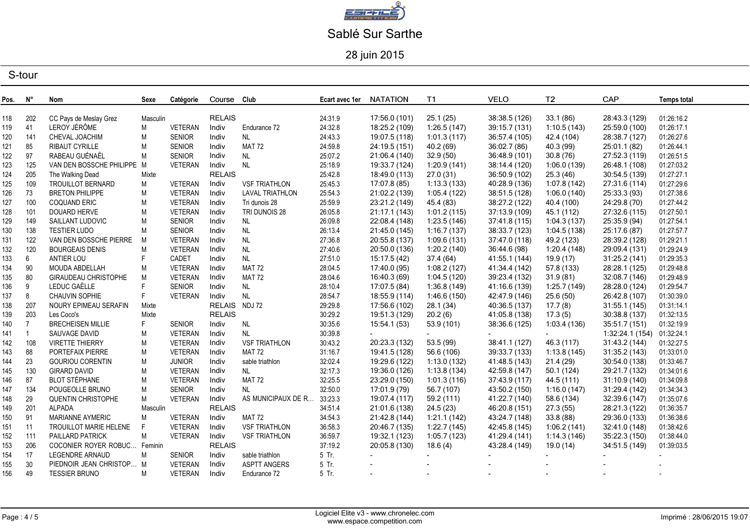

28 juin 2015

| Pos. | N°             | Nom                          | Sexe     | Catégorie      | Course Club   |                      | Ecart avec 1er | <b>NATATION</b> | T1              | <b>VELO</b>   | T <sub>2</sub> | CAP            | <b>Temps total</b> |
|------|----------------|------------------------------|----------|----------------|---------------|----------------------|----------------|-----------------|-----------------|---------------|----------------|----------------|--------------------|
|      |                |                              |          |                | <b>RELAIS</b> |                      |                |                 |                 |               |                |                |                    |
| 118  | 202            | CC Pays de Meslay Grez       | Masculin |                |               |                      | 24:31.9        | 17:56.0 (101)   | 25.1(25)        | 38:38.5 (126) | 33.1(86)       | 28:43.3 (129)  | 01:26:16.2         |
| 119  | 41             | LEROY JÉRÔME                 | M        | <b>VETERAN</b> | Indiv         | Endurance 72         | 24:32.8        | 18:25.2 (109)   | 1:26.5(147)     | 39:15.7 (131) | 1:10.5(143)    | 25:59.0 (100)  | 01:26:17.1         |
| 120  | 141            | CHEVAL JOACHIM               | M        | <b>SENIOR</b>  | Indiv         | <b>NL</b>            | 24:43.3        | 19:07.5 (118)   | 1:01.3(117)     | 36:57.4 (105) | 42.4 (104)     | 28:38.7 (127)  | 01:26:27.6         |
| 121  | 85             | <b>RIBAUT CYRILLE</b>        | M        | <b>SENIOR</b>  | Indiv         | <b>MAT 72</b>        | 24:59.8        | 24:19.5 (151)   | 40.2 (69)       | 36:02.7 (86)  | 40.3 (99)      | 25:01.1 (82)   | 01:26:44.1         |
| 122  | 97             | RABEAU GUÉNAËL               | M        | <b>SENIOR</b>  | Indiv         | <b>NL</b>            | 25:07.2        | 21:06.4 (140)   | 32.9(50)        | 36:48.9 (101) | 30.8(76)       | 27:52.3 (119)  | 01:26:51.5         |
| 123  | 125            | VAN DEN BOSSCHE PHILIPPE M   |          | <b>VETERAN</b> | Indiv         | <b>NL</b>            | 25:18.9        | 19:33.7 (124)   | 1:20.9(141)     | 38:14.4 (120) | 1:06.0(139)    | 26:48.1 (108)  | 01:27:03.2         |
| 124  | 205            | The Walking Dead             | Mixte    |                | <b>RELAIS</b> |                      | 25:42.8        | 18:49.0 (113)   | 27.0 (31)       | 36:50.9 (102) | 25.3 (46)      | 30:54.5 (139)  | 01:27:27.1         |
| 125  | 109            | TROUILLOT BERNARD            | M        | VETERAN        | Indiv         | <b>VSF TRIATHLON</b> | 25:45.3        | 17:07.8 (85)    | 1:13.3(133)     | 40:28.9 (136) | 1:07.8(142)    | 27:31.6 (114)  | 01:27:29.6         |
| 126  | 73             | <b>BRETON PHILIPPE</b>       | M        | VETERAN        | Indiv         | LAVAL TRIATHLON      | 25:54.3        | 21:02.2 (139)   | 1:05.4(122)     | 38:51.5 (128) | 1:06.0(140)    | 25:33.3 (93)   | 01:27:38.6         |
| 127  | 100            | <b>COQUAND ERIC</b>          | M        | <b>VETERAN</b> | Indiv         | Tri dunois 28        | 25:59.9        | 23:21.2 (149)   | 45.4 (83)       | 38:27.2 (122) | 40.4 (100)     | 24:29.8 (70)   | 01:27:44.2         |
| 128  | 101            | DOUARD HERVE                 | M        | <b>VETERAN</b> | Indiv         | TRI DUNOIS 28        | 26:05.8        | 21:17.1 (143)   | 1:01.2(115)     | 37:13.9 (109) | 45.1 (112)     | 27:32.6 (115)  | 01:27:50.1         |
| 129  | 149            | SAILLANT LUDOVIC             | M        | <b>SENIOR</b>  | Indiv         | NL.                  | 26:09.8        | 22:08.4 (148)   | 1:23.5(146)     | 37:41.8 (115) | 1:04.3(137)    | 25:35.9 (94)   | 01:27:54.1         |
| 130  | 138            | <b>TESTIER LUDO</b>          | M        | <b>SENIOR</b>  | Indiv         | <b>NL</b>            | 26:13.4        | 21:45.0 (145)   | 1:16.7(137)     | 38:33.7 (123) | 1:04.5(138)    | 25:17.6 (87)   | 01:27:57.7         |
| 131  | 122            | VAN DEN BOSSCHE PIERRE       | M        | VETERAN        | Indiv         | NL                   | 27:36.8        | 20:55.8 (137)   | 1:09.6(131)     | 37:47.0 (118) | 49.2 (123)     | 28:39.2 (128)  | 01:29:21.1         |
| 132  | 120            | <b>BOURGEAIS DENIS</b>       | M        | <b>VETERAN</b> | Indiv         | NL                   | 27:40.6        | 20:50.0 (136)   | 1:20.2(140)     | 36:44.6 (98)  | 1:20.4(148)    | 29:09.4 (131)  | 01:29:24.9         |
| 133  | 6              | ANTIER LOU                   | F        | CADET          | Indiv         | $\sf NL$             | 27:51.0        | 15:17.5 (42)    | 37.4 (64)       | 41:55.1 (144) | 19.9 (17)      | 31:25.2 (141)  | 01:29:35.3         |
| 134  | 90             | MOUDA ABDELLAH               | M        | <b>VETERAN</b> | Indiv         | <b>MAT 72</b>        | 28:04.5        | 17:40.0 (95)    | 1:08.2(127)     | 41:34.4 (142) | 57.8 (133)     | 28:28.1 (125)  | 01:29:48.8         |
| 135  | 80             | GIRAUDEAU CHRISTOPHE         | M        | <b>VETERAN</b> | Indiv         | <b>MAT 72</b>        | 28:04.6        | 16:40.3 (69)    | 1:04.5(120)     | 39:23.4 (132) | 31.9(81)       | 32:08.7 (146)  | 01:29:48.9         |
| 136  | 9              | LEDUC GAËLLE                 | F.       | <b>SENIOR</b>  | Indiv         | NL                   | 28:10.4        | 17:07.5 (84)    | 1:36.8(149)     | 41:16.6 (139) | 1:25.7(149)    | 28:28.0 (124)  | 01:29:54.7         |
| 137  | 8              | <b>CHAUVIN SOPHIE</b>        | F.       | <b>VETERAN</b> | Indiv         | <b>NL</b>            | 28:54.7        | 18:55.9 (114)   | 1:46.6(150)     | 42:47.9 (146) | 25.6(50)       | 26:42.8 (107)  | 01:30:39.0         |
| 138  | 207            | NOURY EPIMEAU SERAFIN        | Mixte    |                | RELAIS NDJ 72 |                      | 29:29.8        | 17:56.6 (102)   | 28.1(34)        | 40:36.5 (137) | 17.7(8)        | 31:55.1 (145)  | 01:31:14.1         |
| 139  | 203            | Les Coco's                   | Mixte    |                | <b>RELAIS</b> |                      | 30:29.2        | 19:51.3 (129)   | 20.2(6)         | 41:05.8 (138) | 17.3(5)        | 30:38.8 (137)  | 01:32:13.5         |
| 140  | $\overline{7}$ | <b>BRECHEISEN MILLIE</b>     | F        | <b>SENIOR</b>  | Indiv         | <b>NL</b>            | 30:35.6        | 15:54.1 (53)    | 53.9 (101)      | 38:36.6 (125) | 1:03.4(136)    | 35:51.7 (151)  | 01:32:19.9         |
| 141  | -1             | SAUVAGE DAVID                | M        | VETERAN        | Indiv         | <b>NL</b>            | 30:39.8        |                 | $\sim$ 10 $\pm$ |               | $\sim 100$     | 1:32:24.1(154) | 01:32:24.1         |
| 142  | 108            | <b>VIRETTE THIERRY</b>       | M        | <b>VETERAN</b> | Indiv         | <b>VSF TRIATHLON</b> | 30:43.2        | 20:23.3 (132)   | 53.5 (99)       | 38:41.1 (127) | 46.3 (117)     | 31:43.2 (144)  | 01:32:27.5         |
| 143  | 88             | PORTEFAIX PIERRE             | M        | <b>VETERAN</b> | Indiv         | <b>MAT 72</b>        | 31:16.7        | 19:41.5 (128)   | 56.6 (106)      | 39:33.7 (133) | 1:13.8(145)    | 31:35.2(143)   | 01:33:01.0         |
| 144  | 23             | <b>GOURIOU CORENTIN</b>      | M        | <b>JUNIOR</b>  | Indiv         | sable triathlon      | 32:02.4        | 19:29.6 (122)   | 1:13.0(132)     | 41:48.5 (143) | 21.4 (29)      | 30:54.0 (138)  | 01:33:46.7         |
| 145  | 130            | <b>GIRARD DAVID</b>          | M        | <b>VETERAN</b> | Indiv         | NL                   | 32:17.3        | 19:36.0 (126)   | 1:13.8(134)     | 42:59.8 (147) | 50.1(124)      | 29:21.7 (132)  | 01:34:01.6         |
| 146  | 87             | <b>BLOT STÉPHANE</b>         | M        | VETERAN        | Indiv         | <b>MAT 72</b>        | 32:25.5        | 23:29.0 (150)   | 1:01.3(116)     | 37:43.9 (117) | 44.5 (111)     | 31:10.9 (140)  | 01:34:09.8         |
| 147  | 134            | POUGEOLLE BRUNO              | M        | <b>SENIOR</b>  | Indiv         | NL                   | 32:50.0        | 17:01.9 (79)    | 56.7 (107)      | 43:50.2 (150) | 1:16.0(147)    | 31:29.4 (142)  | 01:34:34.3         |
| 148  | 29             | QUENTIN CHRISTOPHE           | M        | VETERAN        | Indiv         | AS MUNICIPAUX DE R   | 33:23.3        | 19:07.4 (117)   | 59.2 (111)      | 41:22.7 (140) | 58.6 (134)     | 32:39.6 (147)  | 01:35:07.6         |
| 149  | 201            | <b>ALPADA</b>                | Masculin |                | <b>RELAIS</b> |                      | 34:51.4        | 21:01.6 (138)   | 24.5 (23)       | 46:20.8 (151) | 27.3 (55)      | 28:21.3 (122)  | 01:36:35.7         |
| 150  | 91             | <b>MARIANNE AYMERIC</b>      | М        | <b>VETERAN</b> | Indiv         | <b>MAT 72</b>        | 34:54.3        | 21:42.8 (144)   | 1:21.1(142)     | 43:24.7 (148) | 33.8 (88)      | 29:36.0 (133)  | 01:36:38.6         |
| 151  | 11             | TROUILLOT MARIE HELENE       | F.       | <b>VETERAN</b> | Indiv         | <b>VSF TRIATHLON</b> | 36:58.3        | 20:46.7 (135)   | 1:22.7(145)     | 42:45.8 (145) | 1:06.2(141)    | 32:41.0 (148)  | 01:38:42.6         |
| 152  | 111            | <b>PAILLARD PATRICK</b>      | М        | <b>VETERAN</b> | Indiv         | <b>VSF TRIATHLON</b> | 36:59.7        | 19:32.1 (123)   | 1:05.7(123)     | 41:29.4 (141) | 1:14.3(146)    | 35:22.3 (150)  | 01:38:44.0         |
| 153  | 206            | COCONIER ROYER ROBUC Feminin |          |                | <b>RELAIS</b> |                      | 37:19.2        | 20:05.8 (130)   | 18.6(4)         | 43:28.4 (149) | 19.0 (14)      | 34:51.5 (149)  | 01:39:03.5         |
| 154  | 17             | LEGENDRE ARNAUD              | М        | <b>SENIOR</b>  | Indiv         | sable triathlon      | 5 Tr.          |                 |                 |               |                |                |                    |
| 155  | 30             | PIEDNOIR JEAN CHRISTOP M     |          | <b>VETERAN</b> | Indiv         | <b>ASPTT ANGERS</b>  | 5 Tr.          |                 |                 |               |                |                |                    |
| 156  | 49             | <b>TESSIER BRUNO</b>         | M        | VETERAN        | Indiv         | Endurance 72         | 5 Tr.          | $\sim$          |                 |               | $\sim$         |                |                    |
|      |                |                              |          |                |               |                      |                |                 |                 |               |                |                |                    |